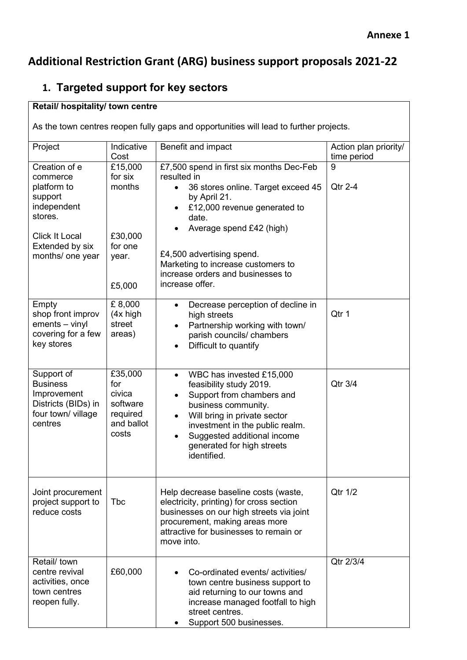## **Additional Restriction Grant (ARG) business support proposals 2021-22**

#### **1. Targeted support for key sectors**

#### **Retail/ hospitality/ town centre**

As the town centres reopen fully gaps and opportunities will lead to further projects.

| Project                                   | Indicative<br>Cost    | Benefit and impact                                                       | Action plan priority/<br>time period |
|-------------------------------------------|-----------------------|--------------------------------------------------------------------------|--------------------------------------|
| Creation of e                             | £15,000               | £7,500 spend in first six months Dec-Feb                                 | 9                                    |
| commerce<br>platform to                   | for six<br>months     | resulted in<br>36 stores online. Target exceed 45<br>$\bullet$           | Qtr 2-4                              |
| support                                   |                       | by April 21.                                                             |                                      |
| independent                               |                       | £12,000 revenue generated to                                             |                                      |
| stores.                                   |                       | date.<br>Average spend £42 (high)                                        |                                      |
| <b>Click It Local</b>                     | £30,000               |                                                                          |                                      |
| Extended by six                           | for one               | £4,500 advertising spend.                                                |                                      |
| months/ one year                          | year.                 | Marketing to increase customers to                                       |                                      |
|                                           |                       | increase orders and businesses to                                        |                                      |
|                                           | £5,000                | increase offer.                                                          |                                      |
| Empty<br>shop front improv                | £8,000<br>$(4x)$ high | Decrease perception of decline in<br>$\bullet$                           | Qtr 1                                |
| ements - vinyl                            | street                | high streets<br>Partnership working with town/                           |                                      |
| covering for a few                        | areas)                | parish councils/ chambers                                                |                                      |
| key stores                                |                       | Difficult to quantify                                                    |                                      |
|                                           |                       |                                                                          |                                      |
| Support of<br><b>Business</b>             | £35,000<br>for        | WBC has invested £15,000<br>$\bullet$<br>feasibility study 2019.         | Qtr 3/4                              |
| Improvement                               | civica                | Support from chambers and                                                |                                      |
| Districts (BIDs) in<br>four town/ village | software<br>required  | business community.                                                      |                                      |
| centres                                   | and ballot            | Will bring in private sector<br>investment in the public realm.          |                                      |
|                                           | costs                 | Suggested additional income                                              |                                      |
|                                           |                       | generated for high streets<br>identified.                                |                                      |
|                                           |                       |                                                                          |                                      |
| Joint procurement                         |                       | Help decrease baseline costs (waste,                                     | Qtr 1/2                              |
| project support to                        | <b>Tbc</b>            | electricity, printing) for cross section                                 |                                      |
| reduce costs                              |                       | businesses on our high streets via joint                                 |                                      |
|                                           |                       | procurement, making areas more<br>attractive for businesses to remain or |                                      |
|                                           |                       | move into.                                                               |                                      |
| Retail/ town                              |                       |                                                                          | Qtr 2/3/4                            |
| centre revival<br>activities, once        | £60,000               | Co-ordinated events/ activities/<br>town centre business support to      |                                      |
| town centres                              |                       | aid returning to our towns and                                           |                                      |
| reopen fully.                             |                       | increase managed footfall to high                                        |                                      |
|                                           |                       | street centres.<br>Support 500 businesses.                               |                                      |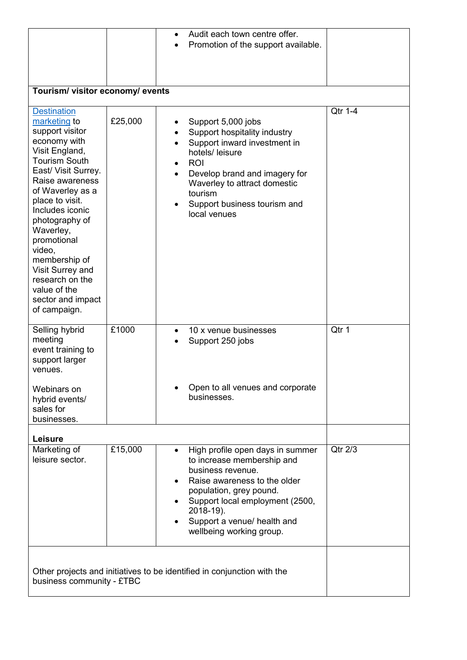|                                                                                                                                                                                                                                                                                                                                                                    |         |                | Audit each town centre offer.<br>Promotion of the support available.                                                                                                                                                                                      |                 |  |
|--------------------------------------------------------------------------------------------------------------------------------------------------------------------------------------------------------------------------------------------------------------------------------------------------------------------------------------------------------------------|---------|----------------|-----------------------------------------------------------------------------------------------------------------------------------------------------------------------------------------------------------------------------------------------------------|-----------------|--|
|                                                                                                                                                                                                                                                                                                                                                                    |         |                |                                                                                                                                                                                                                                                           |                 |  |
|                                                                                                                                                                                                                                                                                                                                                                    |         |                |                                                                                                                                                                                                                                                           |                 |  |
| Tourism/ visitor economy/ events                                                                                                                                                                                                                                                                                                                                   |         |                |                                                                                                                                                                                                                                                           |                 |  |
| <b>Destination</b>                                                                                                                                                                                                                                                                                                                                                 |         |                |                                                                                                                                                                                                                                                           | Qtr 1-4         |  |
| marketing to<br>support visitor<br>economy with<br>Visit England,<br><b>Tourism South</b><br>East/ Visit Surrey.<br>Raise awareness<br>of Waverley as a<br>place to visit.<br>Includes iconic<br>photography of<br>Waverley,<br>promotional<br>video,<br>membership of<br>Visit Surrey and<br>research on the<br>value of the<br>sector and impact<br>of campaign. | £25,000 | ٠<br>$\bullet$ | Support 5,000 jobs<br>Support hospitality industry<br>Support inward investment in<br>hotels/ leisure<br><b>ROI</b><br>Develop brand and imagery for<br>Waverley to attract domestic<br>tourism<br>Support business tourism and<br>local venues           |                 |  |
| Selling hybrid<br>meeting<br>event training to<br>support larger<br>venues.                                                                                                                                                                                                                                                                                        | £1000   | $\bullet$      | 10 x venue businesses<br>Support 250 jobs                                                                                                                                                                                                                 | Qtr 1           |  |
| Webinars on<br>hybrid events/<br>sales for<br>businesses.                                                                                                                                                                                                                                                                                                          |         |                | Open to all venues and corporate<br>businesses.                                                                                                                                                                                                           |                 |  |
| Leisure                                                                                                                                                                                                                                                                                                                                                            |         |                |                                                                                                                                                                                                                                                           |                 |  |
| Marketing of<br>leisure sector.                                                                                                                                                                                                                                                                                                                                    | £15,000 | $\bullet$      | High profile open days in summer<br>to increase membership and<br>business revenue.<br>Raise awareness to the older<br>population, grey pound.<br>Support local employment (2500,<br>2018-19).<br>Support a venue/ health and<br>wellbeing working group. | Qtr $2\sqrt{3}$ |  |
| Other projects and initiatives to be identified in conjunction with the<br>business community - £TBC                                                                                                                                                                                                                                                               |         |                |                                                                                                                                                                                                                                                           |                 |  |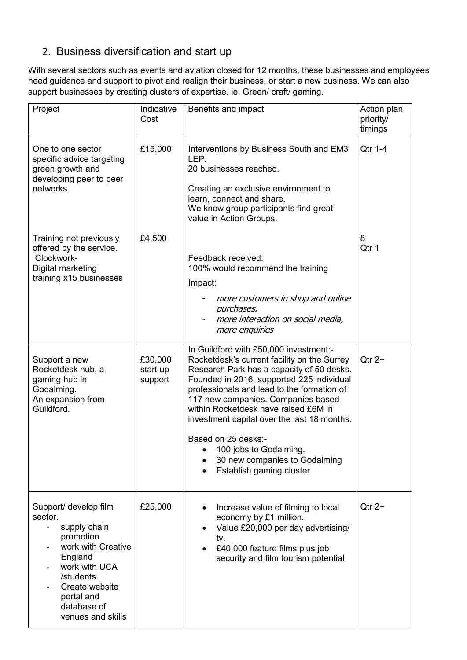### 2. Business diversification and start up

With several sectors such as events and aviation closed for 12 months, these businesses and employees need guidance and support to pivot and realign their business, or start a new business. We can also support businesses by creating clusters of expertise. ie. Green/ craft/ gaming.

| Project                                                                                                                                                                                          | Indicative<br>Cost             | Benefits and impact                                                                                                                                                                                                                                                                                                                                                                                                                                                      | Action plan<br>priority/<br>timings |
|--------------------------------------------------------------------------------------------------------------------------------------------------------------------------------------------------|--------------------------------|--------------------------------------------------------------------------------------------------------------------------------------------------------------------------------------------------------------------------------------------------------------------------------------------------------------------------------------------------------------------------------------------------------------------------------------------------------------------------|-------------------------------------|
| One to one sector<br>specific advice targeting<br>green growth and<br>developing peer to peer<br>networks.                                                                                       | £15,000                        | Interventions by Business South and EM3<br>LEP.<br>20 businesses reached.<br>Creating an exclusive environment to<br>learn, connect and share.<br>We know group participants find great<br>value in Action Groups.                                                                                                                                                                                                                                                       | Qtr 1-4                             |
| Training not previously<br>offered by the service.<br>Clockwork-<br>Digital marketing<br>training x15 businesses                                                                                 | £4,500                         | Feedback received:<br>100% would recommend the training<br>Impact:<br>more customers in shop and online<br>purchases.<br>more interaction on social media,<br>more enquiries                                                                                                                                                                                                                                                                                             | 8<br>Qtr 1                          |
| Support a new<br>Rocketdesk hub, a<br>gaming hub in<br>Godalming.<br>An expansion from<br>Guildford.                                                                                             | £30,000<br>start up<br>support | In Guildford with £50,000 investment:-<br>Rocketdesk's current facility on the Surrey<br>Research Park has a capacity of 50 desks.<br>Founded in 2016, supported 225 individual<br>professionals and lead to the formation of<br>117 new companies. Companies based<br>within Rocketdesk have raised £6M in<br>investment capital over the last 18 months.<br>Based on 25 desks:-<br>100 jobs to Godalming.<br>30 new companies to Godalming<br>Establish gaming cluster | $Qtr 2+$                            |
| Support/ develop film<br>sector.<br>supply chain<br>promotion<br>work with Creative<br>England<br>work with UCA<br>/students<br>Create website<br>portal and<br>database of<br>venues and skills | £25,000                        | Increase value of filming to local<br>economy by £1 million.<br>Value £20,000 per day advertising/<br>tv.<br>£40,000 feature films plus job<br>security and film tourism potential                                                                                                                                                                                                                                                                                       | $Qtr 2+$                            |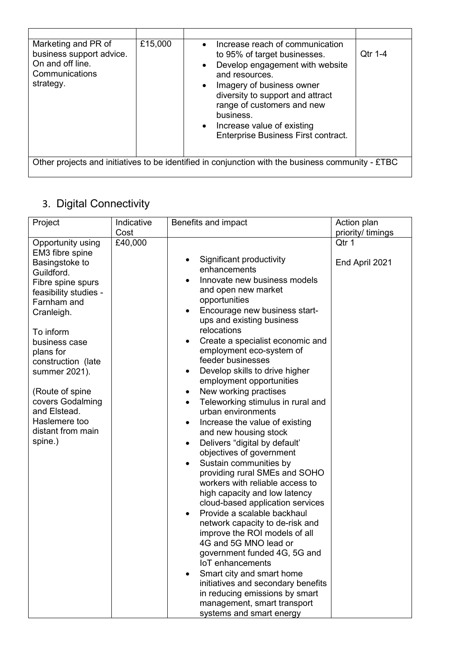| Marketing and PR of<br>business support advice.<br>On and off line.<br>Communications<br>strategy. | £15,000 | Increase reach of communication<br>$\bullet$<br>to 95% of target businesses.<br>Develop engagement with website<br>$\bullet$<br>and resources.<br>Imagery of business owner<br>$\bullet$<br>diversity to support and attract<br>range of customers and new<br>business.<br>Increase value of existing<br>$\bullet$<br>Enterprise Business First contract. | Qtr 1-4 |
|----------------------------------------------------------------------------------------------------|---------|-----------------------------------------------------------------------------------------------------------------------------------------------------------------------------------------------------------------------------------------------------------------------------------------------------------------------------------------------------------|---------|
| Other projects and initiatives to be identified in conjunction with the business community - £TBC  |         |                                                                                                                                                                                                                                                                                                                                                           |         |

## 3. Digital Connectivity

| priority/ timings<br>Qtr 1<br>End April 2021 |
|----------------------------------------------|
|                                              |
|                                              |
|                                              |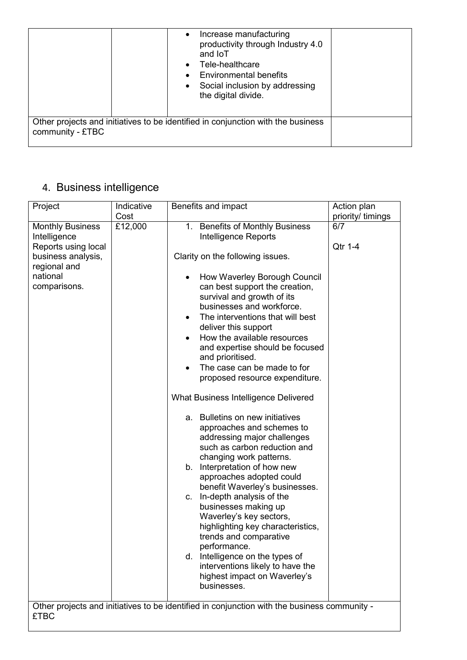|                  | Increase manufacturing<br>$\bullet$<br>productivity through Industry 4.0<br>and <b>IoT</b><br>Tele-healthcare<br><b>Environmental benefits</b><br>Social inclusion by addressing<br>the digital divide. |  |
|------------------|---------------------------------------------------------------------------------------------------------------------------------------------------------------------------------------------------------|--|
| community - £TBC | Other projects and initiatives to be identified in conjunction with the business                                                                                                                        |  |

# 4. Business intelligence

|                                                                                                                                             | Indicative |                                                                                                                                                                                                                                                                                                                                                                                                                                                                                                                                                                                                                                                                                                                                                                                                                                      |                               |
|---------------------------------------------------------------------------------------------------------------------------------------------|------------|--------------------------------------------------------------------------------------------------------------------------------------------------------------------------------------------------------------------------------------------------------------------------------------------------------------------------------------------------------------------------------------------------------------------------------------------------------------------------------------------------------------------------------------------------------------------------------------------------------------------------------------------------------------------------------------------------------------------------------------------------------------------------------------------------------------------------------------|-------------------------------|
|                                                                                                                                             | Cost       |                                                                                                                                                                                                                                                                                                                                                                                                                                                                                                                                                                                                                                                                                                                                                                                                                                      | priority/ timings             |
| Project<br><b>Monthly Business</b><br>Intelligence<br>Reports using local<br>business analysis,<br>regional and<br>national<br>comparisons. | £12,000    | Benefits and impact<br>1. Benefits of Monthly Business<br>Intelligence Reports<br>Clarity on the following issues.<br>How Waverley Borough Council<br>can best support the creation,<br>survival and growth of its<br>businesses and workforce.<br>The interventions that will best<br>deliver this support<br>How the available resources<br>and expertise should be focused<br>and prioritised.<br>The case can be made to for<br>٠<br>proposed resource expenditure.<br>What Business Intelligence Delivered<br>a. Bulletins on new initiatives<br>approaches and schemes to<br>addressing major challenges<br>such as carbon reduction and<br>changing work patterns.<br>Interpretation of how new<br>b.<br>approaches adopted could<br>benefit Waverley's businesses.<br>In-depth analysis of the<br>C.<br>businesses making up | Action plan<br>6/7<br>Qtr 1-4 |
|                                                                                                                                             |            | Waverley's key sectors,<br>highlighting key characteristics,                                                                                                                                                                                                                                                                                                                                                                                                                                                                                                                                                                                                                                                                                                                                                                         |                               |
|                                                                                                                                             |            | trends and comparative<br>performance.<br>d. Intelligence on the types of<br>interventions likely to have the<br>highest impact on Waverley's                                                                                                                                                                                                                                                                                                                                                                                                                                                                                                                                                                                                                                                                                        |                               |
|                                                                                                                                             |            | businesses.                                                                                                                                                                                                                                                                                                                                                                                                                                                                                                                                                                                                                                                                                                                                                                                                                          |                               |
|                                                                                                                                             |            | Other projects and initiatives to be identified in conjunction with the business community -                                                                                                                                                                                                                                                                                                                                                                                                                                                                                                                                                                                                                                                                                                                                         |                               |
| <b>£TBC</b>                                                                                                                                 |            |                                                                                                                                                                                                                                                                                                                                                                                                                                                                                                                                                                                                                                                                                                                                                                                                                                      |                               |